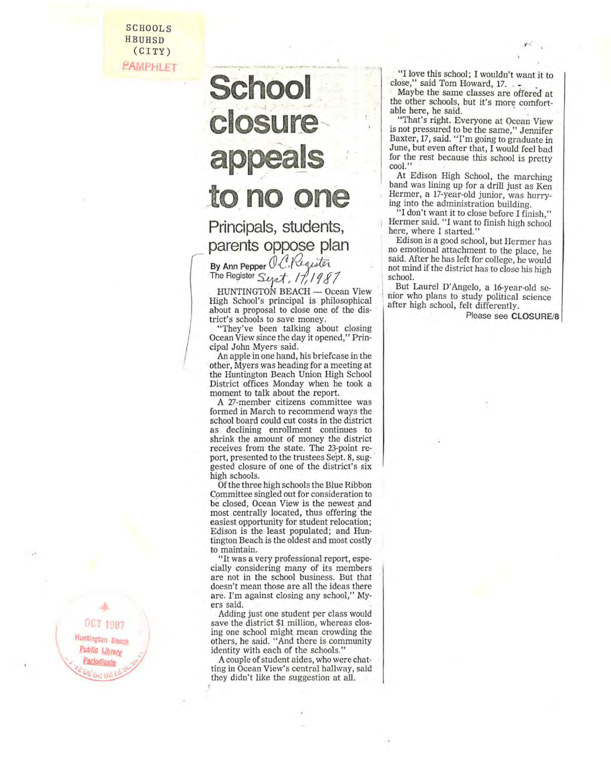SCHOOLS HBUHSD (CITY) **PAMPHLET** 

## **School**  closure **appeals**  to, no **one**

~- ...... ~ .. -.~ -'.

Principals, students, parents oppose plan

By Ann Pepper V.C./Requiter<br>The Register Sept, 17, 1987

HUNTINGTON BEACH - Ocean View High School's principal is philosophical about a proposal to close one of the dis- . trict's schools to save money.

"They've been talking about closing Ocean View since the day it opened," Principal John Myers said,

An apple in one hand, his briefcase in the other, Myers was heading for a meeting at the Huntington Beach Union High School District offices Monday when he took a moment to talk about the report, A 27-member citizens committee was

formed in March to recommend ways the school board could cut costs in the district as declining enrollment continues to shrink the amount of money the district receives from the state, The 23-point report, presented to the trustees Sept. 8, suggested closure of one of the district's six high schools,<br>Of the three high schools the Blue Ribbon

Committee singled out for consideration to be closed, Ocean View is the newest and most centrally located, thus offering' the easiest opportunity for student relocation; Edison is the least populated; and Huntington Beach is the oldest and most costly to maintain.

"It was a very professional report, especially considering many of its members are not in the school business, But that doesn't mean those are all the ideas there are. I'm against closing any school," Myers said,

Adding just one student per class would save the district \$1 million, whereas closing one school might mean crowding the others, he said, "And there is community identity with each of the schools,"

A couple of student aides, who were chatting in Ocean View's central hallway, said they didn't like the suggestion at alL

"I love this school; I wouldn't want it to close," said Tom Howard, 17.

Maybe the same classes are offered at the other schools, but it's more comfortable here, he said.

"That's right. Everyone at Ocean View is not pressured to be the same," Jennifer Baxter, 17, said. "I'm going to graduate in June, but even after that, I would feel bad for the rest because this school is pretty cool."

At Edison High School, the marching band was lining up for a drill just as Ken Hermer, a 17-year-old junior, was hurrying into the administration building,

"I don't want it to close before I finish," Hermer said, "I want to finish high school here, where I started,"

Edison is a good school, but Hermer has no emotional attachment to the place, he said. After he has left for college, he would not mind if the district has to close his high school.

But Laurel D'Angelo, a 16-year-old se-<br>nior who plans to study political science<br>after high school, felt differently,

Please see CLOSURE/8

OCT 1987 Huntington Beach Public Librar . **Pariodicala** 37  $^{6}$  c  $^{10}$ *VE be* del *L* 

I \